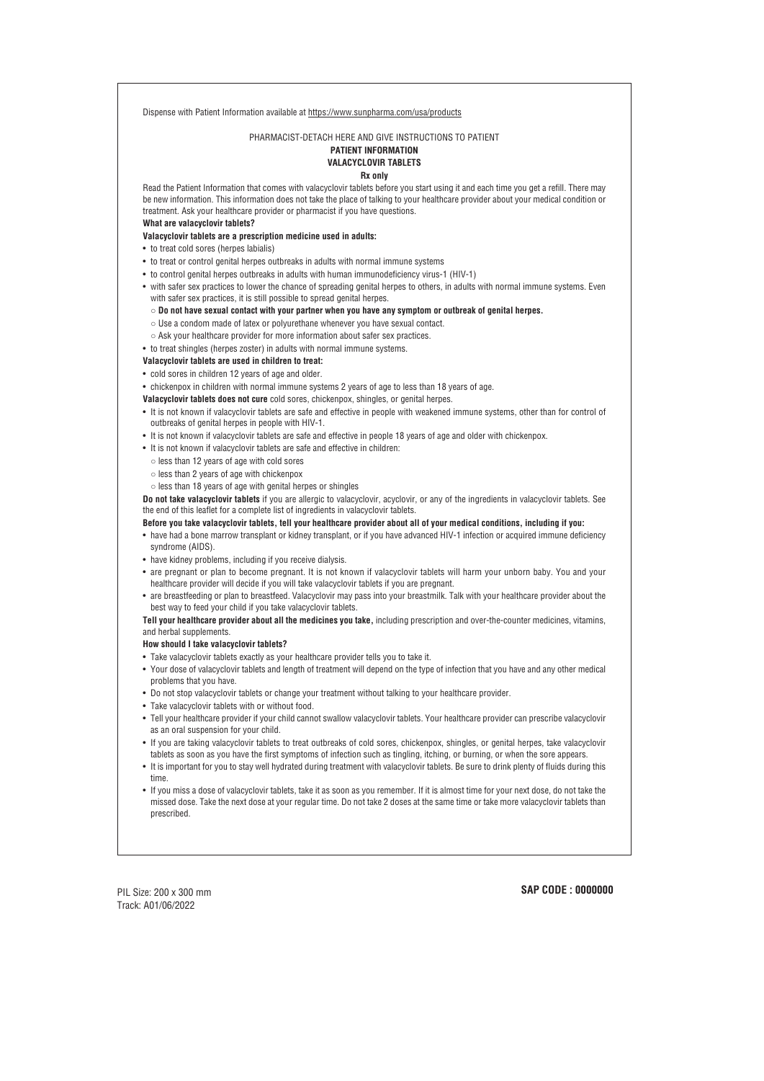Dispense with Patient Information available at https://www.sunpharma.com/usa/products

PHARMACIST-DETACH HERE AND GIVE INSTRUCTIONS TO PATIENT

# **PATIENT INFORMATION VALACYCLOVIR TABLETS**

## **Rx only**

Read the Patient Information that comes with valacyclovir tablets before you start using it and each time you get a refill. There may be new information. This information does not take the place of talking to your healthcare provider about your medical condition or treatment. Ask your healthcare provider or pharmacist if you have questions.

**What are valacyclovir tablets?**

#### **Valacyclovir tablets are a prescription medicine used in adults:**

- Use a condom made of latex or polyurethane whenever you have sexual contact.
- Ask your healthcare provider for more information about safer sex practices.
- to treat shingles (herpes zoster) in adults with normal immune systems.

- It is not known if valacyclovir tablets are safe and effective in people with weakened immune systems, other than for control of outbreaks of genital herpes in people with HIV-1.
- It is not known if valacyclovir tablets are safe and effective in people 18 years of age and older with chickenpox.
- It is not known if valacyclovir tablets are safe and effective in children:
- less than 12 years of age with cold sores
- less than 2 years of age with chickenpox
- $\circ$  less than 18 years of age with genital herpes or shingles
- to treat cold sores (herpes labialis)
- to treat or control genital herpes outbreaks in adults with normal immune systems
- to control genital herpes outbreaks in adults with human immunodeficiency virus-1 (HIV-1)
- with safer sex practices to lower the chance of spreading genital herpes to others, in adults with normal immune systems. Even with safer sex practices, it is still possible to spread genital herpes.

 $\circ$  Do not have sexual contact with your partner when you have any symptom or outbreak of genital herpes.

## **Valacyclovir tablets are used in children to treat:**

- cold sores in children 12 years of age and older.
- chickenpox in children with normal immune systems 2 years of age to less than 18 years of age.

**Valacyclovir tablets does not cure** cold sores, chickenpox, shingles, or genital herpes.

**Do not take valacyclovir tablets** if you are allergic to valacyclovir, acyclovir, or any of the ingredients in valacyclovir tablets. See the end of this leaflet for a complete list of ingredients in valacyclovir tablets.

## Before you take valacyclovir tablets, tell your healthcare provider about all of your medical conditions, including if you:

- have had a bone marrow transplant or kidney transplant, or if you have advanced HIV-1 infection or acquired immune deficiency syndrome (AIDS).
- have kidney problems, including if you receive dialysis.
- are pregnant or plan to become pregnant. It is not known if valacyclovir tablets will harm your unborn baby. You and your healthcare provider will decide if you will take valacyclovir tablets if you are pregnant.
- are breastfeeding or plan to breastfeed. Valacyclovir may pass into your breastmilk. Talk with your healthcare provider about the best way to feed your child if you take valacyclovir tablets.

**Tell your healthcare provider about all the medicines you take,** including prescription and over-the-counter medicines, vitamins, and herbal supplements.

## **How should I take valacyclovir tablets?**

- Take valacyclovir tablets exactly as your healthcare provider tells you to take it.
- Your dose of valacyclovir tablets and length of treatment will depend on the type of infection that you have and any other medical problems that you have.
- Do not stop valacyclovir tablets or change your treatment without talking to your healthcare provider.
- Take valacyclovir tablets with or without food.
- Tell your healthcare provider if your child cannot swallow valacyclovir tablets. Your healthcare provider can prescribe valacyclovir as an oral suspension for your child.
- If you are taking valacyclovir tablets to treat outbreaks of cold sores, chickenpox, shingles, or genital herpes, take valacyclovir tablets as soon as you have the first symptoms of infection such as tingling, itching, or burning, or when the sore appears.
- It is important for you to stay well hydrated during treatment with valacyclovir tablets. Be sure to drink plenty of fluids during this time.
- If you miss a dose of valacyclovir tablets, take it as soon as you remember. If it is almost time for your next dose, do not take the missed dose. Take the next dose at your regular time. Do not take 2 doses at the same time or take more valacyclovir tablets than prescribed.

PIL Size: 200 x 300 mm Track: A01/06/2022

## **SAP CODE : 0000000**